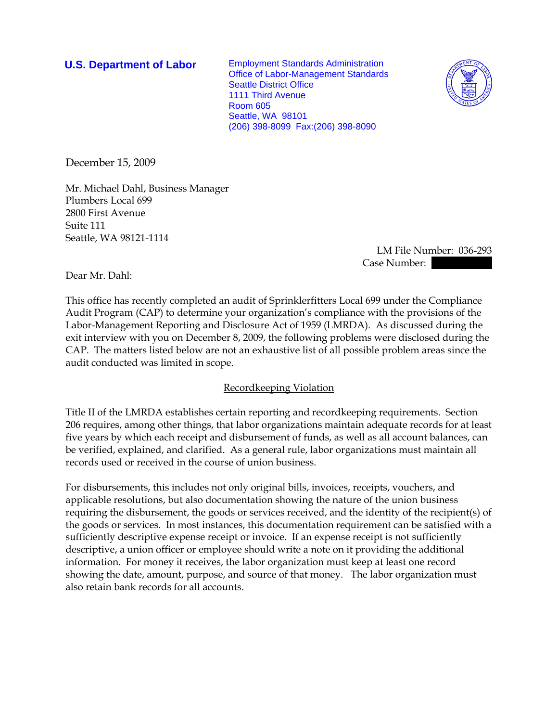**U.S. Department of Labor** Employment Standards Administration Office of Labor-Management Standards Seattle District Office 1111 Third Avenue Room 605 Seattle, WA 98101 (206) 398-8099 Fax:(206) 398-8090



December 15, 2009

Mr. Michael Dahl, Business Manager Plumbers Local 699 2800 First Avenue Suite 111 Seattle, WA 98121-1114

 LM File Number: 036-293 Case Number: |

Dear Mr. Dahl:

This office has recently completed an audit of Sprinklerfitters Local 699 under the Compliance Audit Program (CAP) to determine your organization's compliance with the provisions of the Labor-Management Reporting and Disclosure Act of 1959 (LMRDA). As discussed during the exit interview with you on December 8, 2009, the following problems were disclosed during the CAP. The matters listed below are not an exhaustive list of all possible problem areas since the audit conducted was limited in scope.

## Recordkeeping Violation

Title II of the LMRDA establishes certain reporting and recordkeeping requirements. Section 206 requires, among other things, that labor organizations maintain adequate records for at least five years by which each receipt and disbursement of funds, as well as all account balances, can be verified, explained, and clarified. As a general rule, labor organizations must maintain all records used or received in the course of union business.

For disbursements, this includes not only original bills, invoices, receipts, vouchers, and applicable resolutions, but also documentation showing the nature of the union business requiring the disbursement, the goods or services received, and the identity of the recipient(s) of the goods or services. In most instances, this documentation requirement can be satisfied with a sufficiently descriptive expense receipt or invoice. If an expense receipt is not sufficiently descriptive, a union officer or employee should write a note on it providing the additional information. For money it receives, the labor organization must keep at least one record showing the date, amount, purpose, and source of that money. The labor organization must also retain bank records for all accounts.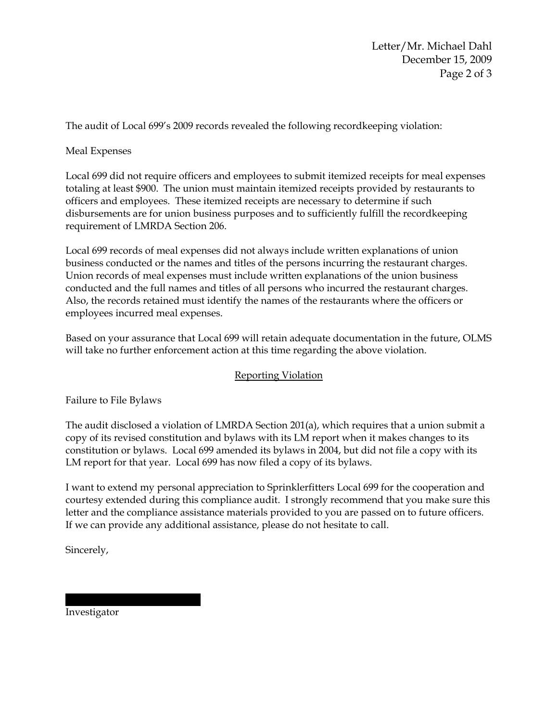Letter/Mr. Michael Dahl December 15, 2009 Page 2 of 3

The audit of Local 699's 2009 records revealed the following recordkeeping violation:

## Meal Expenses

Local 699 did not require officers and employees to submit itemized receipts for meal expenses totaling at least \$900. The union must maintain itemized receipts provided by restaurants to officers and employees. These itemized receipts are necessary to determine if such disbursements are for union business purposes and to sufficiently fulfill the recordkeeping requirement of LMRDA Section 206.

Local 699 records of meal expenses did not always include written explanations of union business conducted or the names and titles of the persons incurring the restaurant charges. Union records of meal expenses must include written explanations of the union business conducted and the full names and titles of all persons who incurred the restaurant charges. Also, the records retained must identify the names of the restaurants where the officers or employees incurred meal expenses.

Based on your assurance that Local 699 will retain adequate documentation in the future, OLMS will take no further enforcement action at this time regarding the above violation.

## Reporting Violation

Failure to File Bylaws

The audit disclosed a violation of LMRDA Section 201(a), which requires that a union submit a copy of its revised constitution and bylaws with its LM report when it makes changes to its constitution or bylaws. Local 699 amended its bylaws in 2004, but did not file a copy with its LM report for that year. Local 699 has now filed a copy of its bylaws.

I want to extend my personal appreciation to Sprinklerfitters Local 699 for the cooperation and courtesy extended during this compliance audit. I strongly recommend that you make sure this letter and the compliance assistance materials provided to you are passed on to future officers. If we can provide any additional assistance, please do not hesitate to call.

Sincerely,

Investigator

|||||| || ||||||||||| ||